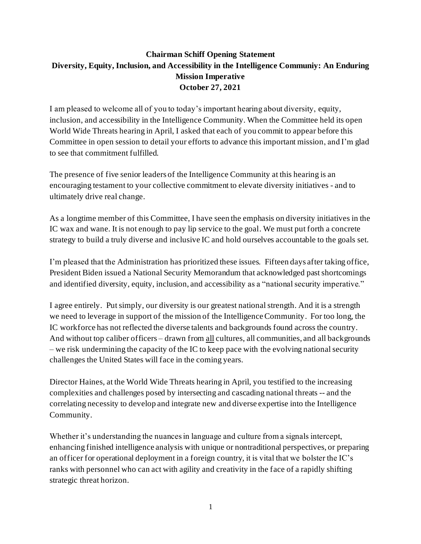## **Chairman Schiff Opening Statement Diversity, Equity, Inclusion, and Accessibility in the Intelligence Communiy: An Enduring Mission Imperative October 27, 2021**

I am pleased to welcome all of you to today's important hearing about diversity, equity, inclusion, and accessibility in the Intelligence Community. When the Committee held its open World Wide Threats hearing in April, I asked that each of you commit to appear before this Committee in open session to detail your efforts to advance this important mission, and I'm glad to see that commitment fulfilled.

The presence of five senior leaders of the Intelligence Community at this hearing is an encouraging testament to your collective commitment to elevate diversity initiatives - and to ultimately drive real change.

As a longtime member of this Committee, I have seen the emphasis on diversity initiatives in the IC wax and wane. It is not enough to pay lip service to the goal. We must put forth a concrete strategy to build a truly diverse and inclusive IC and hold ourselves accountable to the goals set.

I'm pleased that the Administration has prioritized these issues. Fifteen days after taking office, President Biden issued a National Security Memorandum that acknowledged past shortcomings and identified diversity, equity, inclusion, and accessibility as a "national security imperative."

I agree entirely. Put simply, our diversity is our greatest national strength. And it is a strength we need to leverage in support of the mission of the Intelligence Community. For too long, the IC workforce has not reflected the diverse talents and backgrounds found across the country. And without top caliber officers – drawn from all cultures, all communities, and all backgrounds – we risk undermining the capacity of the IC to keep pace with the evolving national security challenges the United States will face in the coming years.

Director Haines, at the World Wide Threats hearing in April, you testified to the increasing complexities and challenges posed by intersecting and cascading national threats -- and the correlating necessity to develop and integrate new and diverse expertise into the Intelligence Community.

Whether it's understanding the nuances in language and culture from a signals intercept, enhancing finished intelligence analysis with unique or nontraditional perspectives, or preparing an officer for operational deployment in a foreign country, it is vital that we bolster the IC's ranks with personnel who can act with agility and creativity in the face of a rapidly shifting strategic threat horizon.